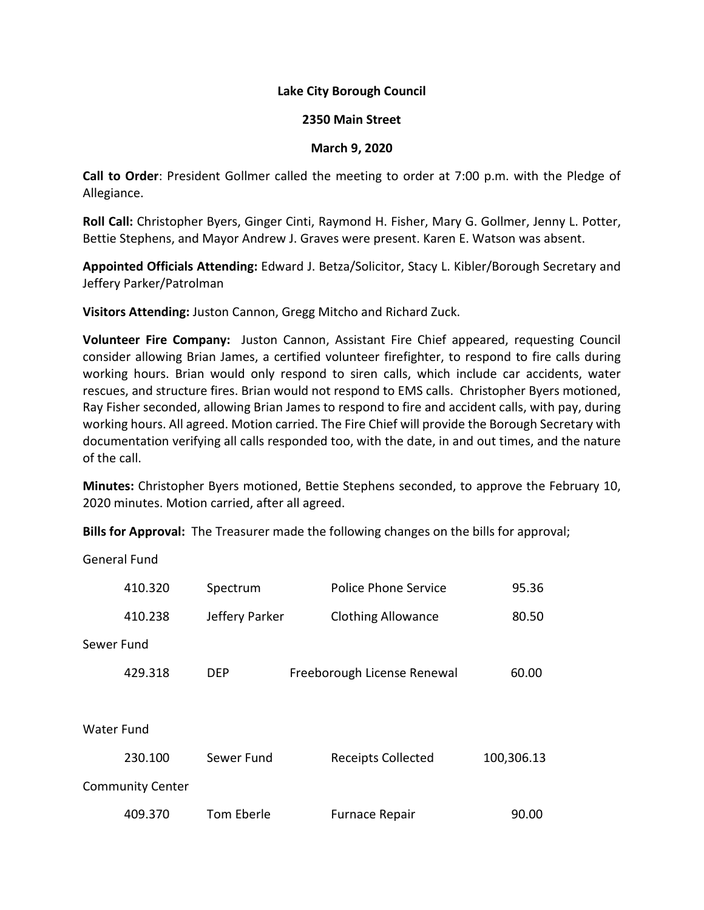## **Lake City Borough Council**

## **2350 Main Street**

## **March 9, 2020**

**Call to Order**: President Gollmer called the meeting to order at 7:00 p.m. with the Pledge of Allegiance.

**Roll Call:** Christopher Byers, Ginger Cinti, Raymond H. Fisher, Mary G. Gollmer, Jenny L. Potter, Bettie Stephens, and Mayor Andrew J. Graves were present. Karen E. Watson was absent.

**Appointed Officials Attending:** Edward J. Betza/Solicitor, Stacy L. Kibler/Borough Secretary and Jeffery Parker/Patrolman

**Visitors Attending:** Juston Cannon, Gregg Mitcho and Richard Zuck.

**Volunteer Fire Company:** Juston Cannon, Assistant Fire Chief appeared, requesting Council consider allowing Brian James, a certified volunteer firefighter, to respond to fire calls during working hours. Brian would only respond to siren calls, which include car accidents, water rescues, and structure fires. Brian would not respond to EMS calls. Christopher Byers motioned, Ray Fisher seconded, allowing Brian James to respond to fire and accident calls, with pay, during working hours. All agreed. Motion carried. The Fire Chief will provide the Borough Secretary with documentation verifying all calls responded too, with the date, in and out times, and the nature of the call.

**Minutes:** Christopher Byers motioned, Bettie Stephens seconded, to approve the February 10, 2020 minutes. Motion carried, after all agreed.

**Bills for Approval:** The Treasurer made the following changes on the bills for approval;

General Fund

|                         | 410.320 | Spectrum       | Police Phone Service        | 95.36      |  |
|-------------------------|---------|----------------|-----------------------------|------------|--|
|                         | 410.238 | Jeffery Parker | <b>Clothing Allowance</b>   | 80.50      |  |
| Sewer Fund              |         |                |                             |            |  |
|                         | 429.318 | <b>DEP</b>     | Freeborough License Renewal | 60.00      |  |
|                         |         |                |                             |            |  |
| Water Fund              |         |                |                             |            |  |
|                         | 230.100 | Sewer Fund     | <b>Receipts Collected</b>   | 100,306.13 |  |
| <b>Community Center</b> |         |                |                             |            |  |
|                         | 409.370 | Tom Eberle     | <b>Furnace Repair</b>       | 90.00      |  |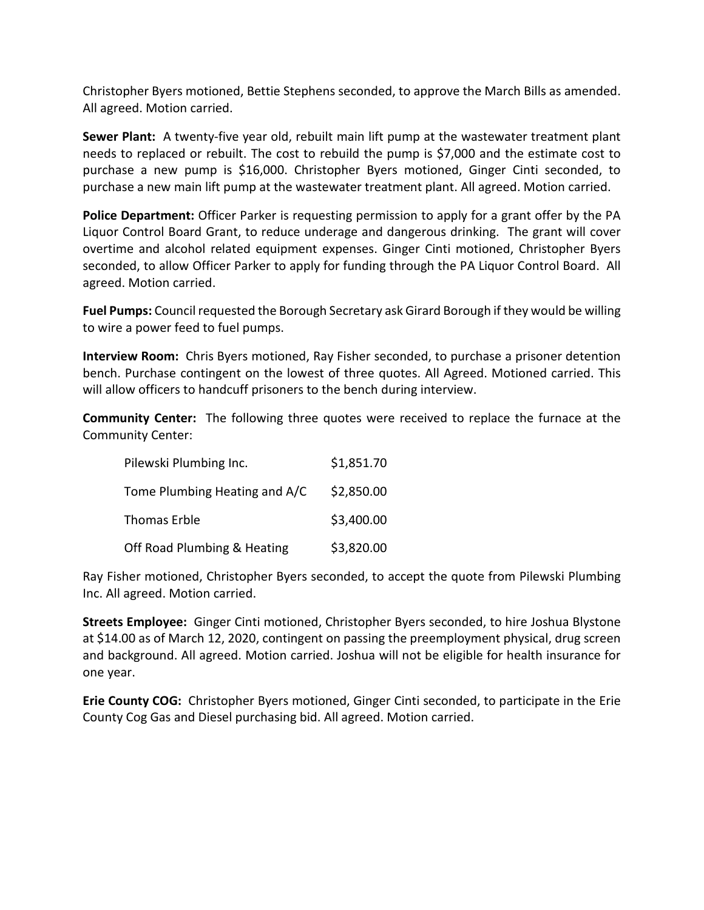Christopher Byers motioned, Bettie Stephens seconded, to approve the March Bills as amended. All agreed. Motion carried.

**Sewer Plant:** A twenty-five year old, rebuilt main lift pump at the wastewater treatment plant needs to replaced or rebuilt. The cost to rebuild the pump is \$7,000 and the estimate cost to purchase a new pump is \$16,000. Christopher Byers motioned, Ginger Cinti seconded, to purchase a new main lift pump at the wastewater treatment plant. All agreed. Motion carried.

**Police Department:** Officer Parker is requesting permission to apply for a grant offer by the PA Liquor Control Board Grant, to reduce underage and dangerous drinking. The grant will cover overtime and alcohol related equipment expenses. Ginger Cinti motioned, Christopher Byers seconded, to allow Officer Parker to apply for funding through the PA Liquor Control Board. All agreed. Motion carried.

**Fuel Pumps:** Council requested the Borough Secretary ask Girard Borough if they would be willing to wire a power feed to fuel pumps.

**Interview Room:** Chris Byers motioned, Ray Fisher seconded, to purchase a prisoner detention bench. Purchase contingent on the lowest of three quotes. All Agreed. Motioned carried. This will allow officers to handcuff prisoners to the bench during interview.

**Community Center:** The following three quotes were received to replace the furnace at the Community Center:

| Pilewski Plumbing Inc.        | \$1,851.70 |
|-------------------------------|------------|
| Tome Plumbing Heating and A/C | \$2,850.00 |
| Thomas Erble                  | \$3,400.00 |
| Off Road Plumbing & Heating   | \$3,820.00 |

Ray Fisher motioned, Christopher Byers seconded, to accept the quote from Pilewski Plumbing Inc. All agreed. Motion carried.

**Streets Employee:** Ginger Cinti motioned, Christopher Byers seconded, to hire Joshua Blystone at \$14.00 as of March 12, 2020, contingent on passing the preemployment physical, drug screen and background. All agreed. Motion carried. Joshua will not be eligible for health insurance for one year.

**Erie County COG:** Christopher Byers motioned, Ginger Cinti seconded, to participate in the Erie County Cog Gas and Diesel purchasing bid. All agreed. Motion carried.